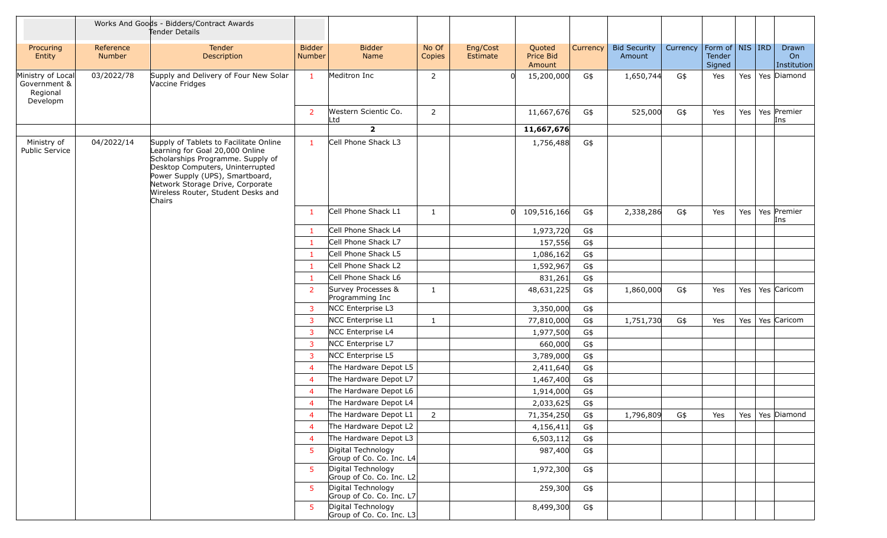|                                                           |                            | Works And Goods - Bidders/Contract Awards<br>Tender Details                                                                                                                                                                                                               |                                |                                                |                 |                      |                               |          |                               |          |                                                            |     |                            |
|-----------------------------------------------------------|----------------------------|---------------------------------------------------------------------------------------------------------------------------------------------------------------------------------------------------------------------------------------------------------------------------|--------------------------------|------------------------------------------------|-----------------|----------------------|-------------------------------|----------|-------------------------------|----------|------------------------------------------------------------|-----|----------------------------|
| Procuring<br>Entity                                       | Reference<br><b>Number</b> | Tender<br>Description                                                                                                                                                                                                                                                     | <b>Bidder</b><br><b>Number</b> | <b>Bidder</b><br><b>Name</b>                   | No Of<br>Copies | Eng/Cost<br>Estimate | Quoted<br>Price Bid<br>Amount | Currency | <b>Bid Security</b><br>Amount | Currency | Form of $\vert$ NIS $\vert$ IRD<br><b>Tender</b><br>Signed |     | Drawn<br>On<br>Institution |
| Ministry of Local<br>Government &<br>Regional<br>Developm | 03/2022/78                 | Supply and Delivery of Four New Solar<br>Vaccine Fridges                                                                                                                                                                                                                  | 1                              | Meditron Inc                                   | $\overline{2}$  |                      | 15,200,000                    | G\$      | 1,650,744                     | G\$      | Yes                                                        | Yes | Yes Diamond                |
|                                                           |                            |                                                                                                                                                                                                                                                                           | 2                              | Western Scientic Co.<br>Ltd                    | $\overline{2}$  |                      | 11,667,676                    | G\$      | 525,000                       | G\$      | Yes                                                        | Yes | Yes Premier<br>Ins         |
|                                                           |                            |                                                                                                                                                                                                                                                                           |                                | $\overline{2}$                                 |                 |                      | 11,667,676                    |          |                               |          |                                                            |     |                            |
| Ministry of<br><b>Public Service</b>                      | 04/2022/14                 | Supply of Tablets to Facilitate Online<br>Learning for Goal 20,000 Online<br>Scholarships Programme. Supply of<br>Desktop Computers, Uninterrupted<br>Power Supply (UPS), Smartboard,<br>Network Storage Drive, Corporate<br>Wireless Router, Student Desks and<br>Chairs | -1                             | Cell Phone Shack L3                            |                 |                      | 1,756,488                     | G\$      |                               |          |                                                            |     |                            |
|                                                           |                            |                                                                                                                                                                                                                                                                           | -1                             | Cell Phone Shack L1                            | $\mathbf{1}$    |                      | 109,516,166<br>$\Omega$       | G\$      | 2,338,286                     | G\$      | Yes                                                        | Yes | Yes Premier<br>Ins         |
|                                                           |                            |                                                                                                                                                                                                                                                                           | $\mathbf{1}$                   | Cell Phone Shack L4                            |                 |                      | 1,973,720                     | G\$      |                               |          |                                                            |     |                            |
|                                                           |                            |                                                                                                                                                                                                                                                                           | -1                             | Cell Phone Shack L7                            |                 |                      | 157,556                       | G\$      |                               |          |                                                            |     |                            |
|                                                           |                            |                                                                                                                                                                                                                                                                           | -1                             | Cell Phone Shack L5                            |                 |                      | 1,086,162                     | G\$      |                               |          |                                                            |     |                            |
|                                                           |                            |                                                                                                                                                                                                                                                                           | $\mathbf{1}$                   | Cell Phone Shack L2                            |                 |                      | 1,592,967                     | G\$      |                               |          |                                                            |     |                            |
|                                                           |                            |                                                                                                                                                                                                                                                                           | $\mathbf{1}$                   | Cell Phone Shack L6                            |                 |                      | 831,261                       | G\$      |                               |          |                                                            |     |                            |
|                                                           |                            |                                                                                                                                                                                                                                                                           | 2                              | Survey Processes &<br>Programming Inc          | $\mathbf{1}$    |                      | 48,631,225                    | G\$      | 1,860,000                     | G\$      | Yes                                                        | Yes | Yes Caricom                |
|                                                           |                            |                                                                                                                                                                                                                                                                           | $\overline{3}$                 | NCC Enterprise L3                              |                 |                      | 3,350,000                     | G\$      |                               |          |                                                            |     |                            |
|                                                           |                            |                                                                                                                                                                                                                                                                           | 3                              | NCC Enterprise L1                              | $\mathbf{1}$    |                      | 77,810,000                    | G\$      | 1,751,730                     | G\$      | Yes                                                        | Yes | Yes Caricom                |
|                                                           |                            |                                                                                                                                                                                                                                                                           | 3                              | NCC Enterprise L4                              |                 |                      | 1,977,500                     | G\$      |                               |          |                                                            |     |                            |
|                                                           |                            |                                                                                                                                                                                                                                                                           | 3                              | NCC Enterprise L7                              |                 |                      | 660,000                       | G\$      |                               |          |                                                            |     |                            |
|                                                           |                            |                                                                                                                                                                                                                                                                           | 3                              | NCC Enterprise L5                              |                 |                      | 3,789,000                     | G\$      |                               |          |                                                            |     |                            |
|                                                           |                            |                                                                                                                                                                                                                                                                           | $\overline{4}$                 | The Hardware Depot L5                          |                 |                      | 2,411,640                     | G\$      |                               |          |                                                            |     |                            |
|                                                           |                            |                                                                                                                                                                                                                                                                           | $\overline{4}$                 | The Hardware Depot L7                          |                 |                      | 1,467,400                     | G\$      |                               |          |                                                            |     |                            |
|                                                           |                            |                                                                                                                                                                                                                                                                           | $\overline{4}$                 | The Hardware Depot L6                          |                 |                      | 1,914,000                     | G\$      |                               |          |                                                            |     |                            |
|                                                           |                            |                                                                                                                                                                                                                                                                           | $\overline{4}$                 | The Hardware Depot L4                          |                 |                      | 2,033,625                     | G\$      |                               |          |                                                            |     |                            |
|                                                           |                            |                                                                                                                                                                                                                                                                           | $\overline{4}$                 | The Hardware Depot L1                          | $\overline{2}$  |                      | 71,354,250                    | G\$      | 1,796,809                     | G\$      | Yes                                                        | Yes | Yes Diamond                |
|                                                           |                            |                                                                                                                                                                                                                                                                           | $\overline{4}$                 | The Hardware Depot L2                          |                 |                      | 4,156,411                     | G\$      |                               |          |                                                            |     |                            |
|                                                           |                            |                                                                                                                                                                                                                                                                           | $\overline{4}$                 | The Hardware Depot L3                          |                 |                      | 6,503,112                     | G\$      |                               |          |                                                            |     |                            |
|                                                           |                            |                                                                                                                                                                                                                                                                           | 5                              | Digital Technology<br>Group of Co. Co. Inc. L4 |                 |                      | 987,400                       | G\$      |                               |          |                                                            |     |                            |
|                                                           |                            |                                                                                                                                                                                                                                                                           | $5^{\circ}$                    | Digital Technology<br>Group of Co. Co. Inc. L2 |                 |                      | 1,972,300                     | G\$      |                               |          |                                                            |     |                            |
|                                                           |                            |                                                                                                                                                                                                                                                                           | 5 <sup>5</sup>                 | Digital Technology<br>Group of Co. Co. Inc. L7 |                 |                      | 259,300                       | G\$      |                               |          |                                                            |     |                            |
|                                                           |                            |                                                                                                                                                                                                                                                                           | 5                              | Digital Technology<br>Group of Co. Co. Inc. L3 |                 |                      | 8,499,300                     | G\$      |                               |          |                                                            |     |                            |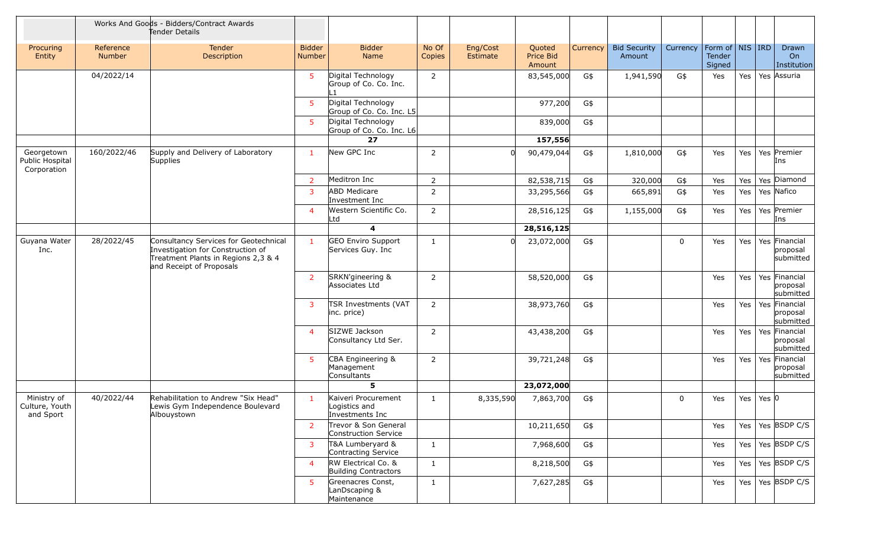|                                              |                            | Works And Goods - Bidders/Contract Awards<br>Tender Details                                                                                   |                                |                                                         |                 |                      |                               |          |                               |             |                                         |     |           |                                        |
|----------------------------------------------|----------------------------|-----------------------------------------------------------------------------------------------------------------------------------------------|--------------------------------|---------------------------------------------------------|-----------------|----------------------|-------------------------------|----------|-------------------------------|-------------|-----------------------------------------|-----|-----------|----------------------------------------|
| Procuring<br>Entity                          | Reference<br><b>Number</b> | <b>Tender</b><br>Description                                                                                                                  | <b>Bidder</b><br><b>Number</b> | <b>Bidder</b><br><b>Name</b>                            | No Of<br>Copies | Eng/Cost<br>Estimate | Quoted<br>Price Bid<br>Amount | Currency | <b>Bid Security</b><br>Amount | Currency    | Form of   NIS   IRD<br>Tender<br>Signed |     |           | Drawn<br>On<br>Institution             |
|                                              | 04/2022/14                 |                                                                                                                                               | 5                              | Digital Technology<br>Group of Co. Co. Inc.             | $\overline{2}$  |                      | 83,545,000                    | G\$      | 1,941,590                     | G\$         | Yes                                     | Yes |           | Yes Assuria                            |
|                                              |                            |                                                                                                                                               | 5                              | Digital Technology<br>Group of Co. Co. Inc. L5          |                 |                      | 977,200                       | G\$      |                               |             |                                         |     |           |                                        |
|                                              |                            |                                                                                                                                               | 5                              | Digital Technology<br>Group of Co. Co. Inc. L6          |                 |                      | 839,000                       | G\$      |                               |             |                                         |     |           |                                        |
|                                              |                            |                                                                                                                                               |                                | 27                                                      |                 |                      | 157,556                       |          |                               |             |                                         |     |           |                                        |
| Georgetown<br>Public Hospital<br>Corporation | 160/2022/46                | Supply and Delivery of Laboratory<br>Supplies                                                                                                 | -1                             | New GPC Inc                                             | $\overline{2}$  |                      | 90,479,044                    | G\$      | 1,810,000                     | G\$         | Yes                                     | Yes |           | Yes Premier<br>Ins                     |
|                                              |                            |                                                                                                                                               | -2                             | Meditron Inc                                            | $\overline{2}$  |                      | 82,538,715                    | G\$      | 320,000                       | G\$         | Yes                                     | Yes |           | Yes Diamond                            |
|                                              |                            |                                                                                                                                               | -3                             | <b>ABD Medicare</b><br>Investment Inc                   | $\overline{2}$  |                      | 33,295,566                    | G\$      | 665,891                       | G\$         | Yes                                     | Yes |           | Yes Nafico                             |
|                                              |                            |                                                                                                                                               | $\overline{4}$                 | Western Scientific Co.<br>Ltd                           | $\overline{2}$  |                      | 28,516,125                    | G\$      | 1,155,000                     | G\$         | Yes                                     | Yes |           | Yes Premier<br>Ins                     |
|                                              |                            |                                                                                                                                               |                                | $\overline{\mathbf{4}}$                                 |                 |                      | 28,516,125                    |          |                               |             |                                         |     |           |                                        |
| Guyana Water<br>Inc.                         | 28/2022/45                 | Consultancy Services for Geotechnical<br>Investigation for Construction of<br>Treatment Plants in Regions 2,3 & 4<br>and Receipt of Proposals | $\mathbf{1}$                   | <b>GEO Enviro Support</b><br>Services Guy. Inc          | $\mathbf{1}$    | 0l                   | 23,072,000                    | G\$      |                               | $\mathbf 0$ | Yes                                     | Yes |           | Yes Financial<br>proposal<br>submitted |
|                                              |                            |                                                                                                                                               | $\overline{2}$                 | SRKN'gineering &<br>Associates Ltd                      | $\overline{2}$  |                      | 58,520,000                    | G\$      |                               |             | Yes                                     | Yes |           | Yes Financial<br>proposal<br>submitted |
|                                              |                            |                                                                                                                                               | -3                             | TSR Investments (VAT<br>inc. price)                     | $\overline{2}$  |                      | 38,973,760                    | G\$      |                               |             | Yes                                     | Yes |           | Yes Financial<br>proposal<br>submitted |
|                                              |                            |                                                                                                                                               | $\overline{4}$                 | SIZWE Jackson<br>Consultancy Ltd Ser.                   | $\overline{2}$  |                      | 43,438,200                    | G\$      |                               |             | Yes                                     | Yes |           | Yes Financial<br>proposal<br>submitted |
|                                              |                            |                                                                                                                                               | 5                              | CBA Engineering &<br>Management<br>Consultants          | $\overline{2}$  |                      | 39,721,248                    | G\$      |                               |             | Yes                                     | Yes |           | Yes Financial<br>proposal<br>submitted |
|                                              |                            |                                                                                                                                               |                                | 5                                                       |                 |                      | 23,072,000                    |          |                               |             |                                         |     |           |                                        |
| Ministry of<br>Culture, Youth<br>and Sport   | 40/2022/44                 | Rehabilitation to Andrew "Six Head"<br>Lewis Gym Independence Boulevard<br>Albouystown                                                        | $\mathbf{1}$                   | Kaiveri Procurement<br>Logistics and<br>Investments Inc | $\mathbf{1}$    | 8,335,590            | 7,863,700                     | G\$      |                               | $\mathbf 0$ | Yes                                     | Yes | Yes $ 0 $ |                                        |
|                                              |                            |                                                                                                                                               | $\overline{2}$                 | Trevor & Son General<br>Construction Service            |                 |                      | 10,211,650                    | G\$      |                               |             | Yes                                     | Yes |           | $'$ Yes BSDP C/S                       |
|                                              |                            |                                                                                                                                               | 3                              | T&A Lumberyard &<br>Contracting Service                 | $\mathbf{1}$    |                      | 7,968,600                     | G\$      |                               |             | Yes                                     | Yes |           | Yes BSDP C/S                           |
|                                              |                            |                                                                                                                                               | $\overline{4}$                 | RW Electrical Co. &<br><b>Building Contractors</b>      | $\mathbf{1}$    |                      | 8,218,500                     | G\$      |                               |             | Yes                                     | Yes |           | Yes BSDP C/S                           |
|                                              |                            |                                                                                                                                               | 5                              | Greenacres Const,<br>LanDscaping &<br>Maintenance       | $\mathbf{1}$    |                      | 7,627,285                     | G\$      |                               |             | Yes                                     | Yes |           | Yes BSDP C/S                           |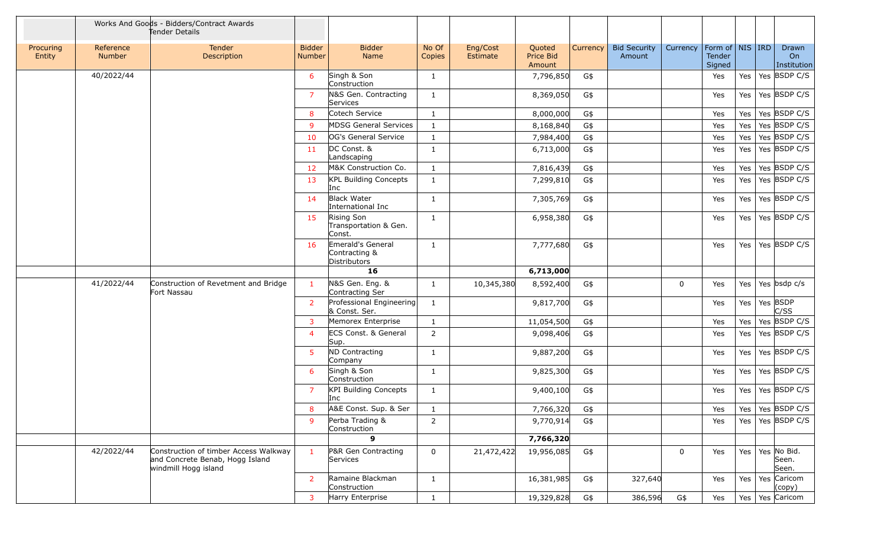|                     |                     | Works And Goods - Bidders/Contract Awards<br>Tender Details                                      |                                |                                                    |                 |                      |                               |          |                               |             |                                         |         |                               |
|---------------------|---------------------|--------------------------------------------------------------------------------------------------|--------------------------------|----------------------------------------------------|-----------------|----------------------|-------------------------------|----------|-------------------------------|-------------|-----------------------------------------|---------|-------------------------------|
| Procuring<br>Entity | Reference<br>Number | <b>Tender</b><br>Description                                                                     | <b>Bidder</b><br><b>Number</b> | <b>Bidder</b><br>Name                              | No Of<br>Copies | Eng/Cost<br>Estimate | Quoted<br>Price Bid<br>Amount | Currency | <b>Bid Security</b><br>Amount | Currency    | Form of   NIS   IRD<br>Tender<br>Signed |         | Drawn<br>On<br>Institution    |
|                     | 40/2022/44          |                                                                                                  | 6                              | Singh & Son<br>Construction                        | $\mathbf{1}$    |                      | 7,796,850                     | G\$      |                               |             | Yes                                     | Yes     | Yes BSDP C/S                  |
|                     |                     |                                                                                                  | -7                             | N&S Gen. Contracting<br>Services                   | $\mathbf{1}$    |                      | 8,369,050                     | G\$      |                               |             | Yes                                     | Yes l   | Yes BSDP C/S                  |
|                     |                     |                                                                                                  | -8                             | Cotech Service                                     | $\mathbf{1}$    |                      | 8,000,000                     | G\$      |                               |             | Yes                                     | Yes     | Yes BSDP C/S                  |
|                     |                     |                                                                                                  | <b>q</b>                       | <b>MDSG General Services</b>                       | $\mathbf{1}$    |                      | 8,168,840                     | G\$      |                               |             | Yes                                     | Yes     | Yes BSDP C/S                  |
|                     |                     |                                                                                                  | 10                             | OG's General Service                               | $\mathbf{1}$    |                      | 7,984,400                     | G\$      |                               |             | Yes                                     | Yes     | Yes BSDP C/S                  |
|                     |                     |                                                                                                  | -11                            | DC Const. &<br>Landscaping                         | $\mathbf{1}$    |                      | 6,713,000                     | G\$      |                               |             | Yes                                     | Yes     | Yes BSDP C/S                  |
|                     |                     |                                                                                                  | 12                             | M&K Construction Co.                               | $\mathbf{1}$    |                      | 7,816,439                     | G\$      |                               |             | Yes                                     | Yes     | Yes BSDP C/S                  |
|                     |                     |                                                                                                  | 13                             | <b>KPL Building Concepts</b><br>Inc                | $\mathbf{1}$    |                      | 7,299,810                     | G\$      |                               |             | Yes                                     | Yes     | Yes BSDP C/S                  |
|                     |                     |                                                                                                  | 14                             | <b>Black Water</b><br>International Inc            | $\mathbf{1}$    |                      | 7,305,769                     | G\$      |                               |             | Yes                                     | Yes     | Yes BSDP C/S                  |
|                     |                     |                                                                                                  | 15                             | Rising Son<br>Transportation & Gen.<br>Const.      | $\mathbf{1}$    |                      | 6,958,380                     | G\$      |                               |             | Yes                                     | Yes $ $ | Yes BSDP C/S                  |
|                     |                     |                                                                                                  | 16                             | Emerald's General<br>Contracting &<br>Distributors | $\mathbf{1}$    |                      | 7,777,680                     | G\$      |                               |             | Yes                                     | Yes     | Yes BSDP C/S                  |
|                     |                     |                                                                                                  |                                | 16                                                 |                 |                      | 6,713,000                     |          |                               |             |                                         |         |                               |
|                     | 41/2022/44          | Construction of Revetment and Bridge<br>Fort Nassau                                              | -1                             | N&S Gen. Eng. &<br>Contracting Ser                 | $\mathbf{1}$    | 10,345,380           | 8,592,400                     | G\$      |                               | 0           | Yes                                     | Yes     | Yes bsdp c/s                  |
|                     |                     |                                                                                                  | 2                              | Professional Engineering<br>& Const. Ser.          | $\mathbf{1}$    |                      | 9,817,700                     | G\$      |                               |             | Yes                                     | Yes     | Yes BSDP<br>C/SS              |
|                     |                     |                                                                                                  | -3                             | Memorex Enterprise                                 | $\mathbf{1}$    |                      | 11,054,500                    | G\$      |                               |             | Yes                                     | Yes     | Yes BSDP C/S                  |
|                     |                     |                                                                                                  | $\overline{4}$                 | <b>ECS Const. &amp; General</b><br>Sup.            | $\overline{2}$  |                      | 9,098,406                     | G\$      |                               |             | Yes                                     | Yes     | Yes BSDP C/S                  |
|                     |                     |                                                                                                  | 5                              | ND Contracting<br>Company                          | $\mathbf{1}$    |                      | 9,887,200                     | G\$      |                               |             | Yes                                     | Yes     | Yes BSDP C/S                  |
|                     |                     |                                                                                                  | 6                              | Singh & Son<br>Construction                        | $\mathbf{1}$    |                      | 9,825,300                     | G\$      |                               |             | Yes                                     | Yes $ $ | Yes BSDP C/S                  |
|                     |                     |                                                                                                  | -7                             | KPI Building Concepts<br>Inc                       | $\mathbf{1}$    |                      | 9,400,100                     | G\$      |                               |             | Yes                                     |         | Yes   Yes   BSDP C/S          |
|                     |                     |                                                                                                  | 8                              | A&E Const. Sup. & Ser                              | $\mathbf{1}$    |                      | 7,766,320                     | G\$      |                               |             | Yes                                     |         | Yes   Yes   BSDP C/S          |
|                     |                     |                                                                                                  | -9                             | Perba Trading &<br>Construction                    | $\overline{2}$  |                      | 9,770,914                     | G\$      |                               |             | Yes                                     | Yes $ $ | Yes BSDP C/S                  |
|                     |                     |                                                                                                  |                                | $\mathbf{9}$                                       |                 |                      | 7,766,320                     |          |                               |             |                                         |         |                               |
|                     | 42/2022/44          | Construction of timber Access Walkway<br>and Concrete Benab, Hogg Island<br>windmill Hogg island | $\mathbf{1}$                   | P&R Gen Contracting<br>Services                    | $\mathbf 0$     | 21,472,422           | 19,956,085                    | G\$      |                               | $\mathbf 0$ | Yes                                     | Yes     | Yes No Bid.<br>Seen.<br>Seen. |
|                     |                     |                                                                                                  | 2                              | Ramaine Blackman<br>Construction                   | $\mathbf{1}$    |                      | 16,381,985                    | G\$      | 327,640                       |             | Yes                                     | Yes     | Yes Caricom<br>(copy)         |
|                     |                     |                                                                                                  | $\overline{3}$                 | Harry Enterprise                                   | $\mathbf{1}$    |                      | 19,329,828                    | G\$      | 386,596                       | G\$         | Yes                                     | Yes     | Yes Caricom                   |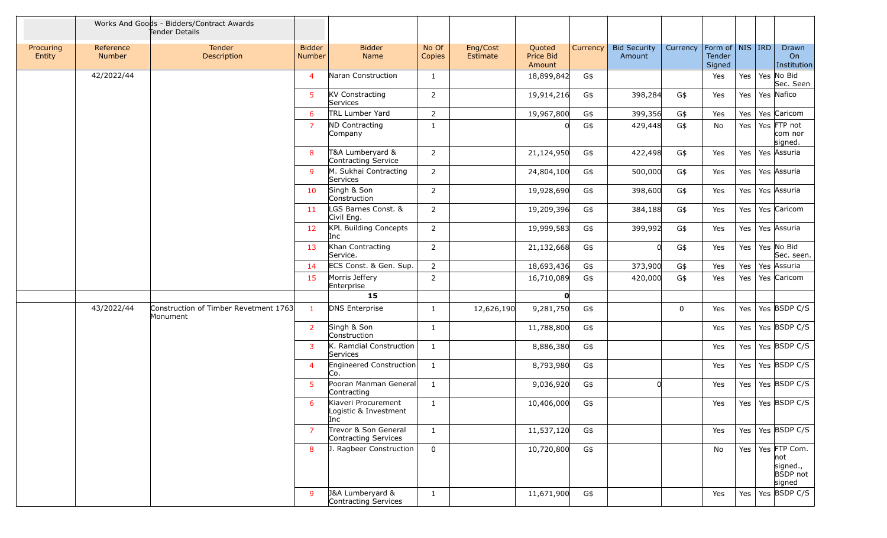|                     |                            | Works And Goods - Bidders/Contract Awards<br>Tender Details |                                |                                                     |                 |                      |                               |          |                               |             |                                         |         |                                                              |
|---------------------|----------------------------|-------------------------------------------------------------|--------------------------------|-----------------------------------------------------|-----------------|----------------------|-------------------------------|----------|-------------------------------|-------------|-----------------------------------------|---------|--------------------------------------------------------------|
| Procuring<br>Entity | Reference<br><b>Number</b> | Tender<br>Description                                       | <b>Bidder</b><br><b>Number</b> | <b>Bidder</b><br>Name                               | No Of<br>Copies | Eng/Cost<br>Estimate | Quoted<br>Price Bid<br>Amount | Currency | <b>Bid Security</b><br>Amount | Currency    | Form of   NIS   IRD<br>Tender<br>Signed |         | Drawn<br>On<br>Institution                                   |
|                     | 42/2022/44                 |                                                             | $\overline{a}$                 | Naran Construction                                  | 1               |                      | 18,899,842                    | G\$      |                               |             | Yes                                     | Yes     | Yes No Bid<br>Sec. Seen                                      |
|                     |                            |                                                             | -5                             | <b>KV Constracting</b><br>Services                  | $\overline{2}$  |                      | 19,914,216                    | G\$      | 398,284                       | G\$         | Yes                                     | Yes     | Yes Nafico                                                   |
|                     |                            |                                                             | 6                              | TRL Lumber Yard                                     | $\overline{2}$  |                      | 19,967,800                    | G\$      | 399,356                       | G\$         | Yes                                     | Yes     | Yes Caricom                                                  |
|                     |                            |                                                             | 7                              | <b>ND Contracting</b><br>Company                    | $\mathbf{1}$    |                      |                               | G\$      | 429,448                       | G\$         | No                                      | Yes $ $ | Yes FTP not<br>com nor<br>signed.                            |
|                     |                            |                                                             | 8                              | T&A Lumberyard &<br>Contracting Service             | $\overline{2}$  |                      | 21,124,950                    | G\$      | 422,498                       | G\$         | Yes                                     | Yes     | Yes Assuria                                                  |
|                     |                            |                                                             | $\mathsf{q}$                   | M. Sukhai Contracting<br>Services                   | $\overline{2}$  |                      | 24,804,100                    | G\$      | 500,000                       | G\$         | Yes                                     | Yes $ $ | Yes Assuria                                                  |
|                     |                            |                                                             | 10                             | Singh & Son<br>Construction                         | $\overline{2}$  |                      | 19,928,690                    | G\$      | 398,600                       | G\$         | Yes                                     | Yes $ $ | Yes Assuria                                                  |
|                     |                            |                                                             | 11                             | LGS Barnes Const. &<br>Civil Eng.                   | $\overline{2}$  |                      | 19,209,396                    | G\$      | 384,188                       | G\$         | Yes                                     | Yes $ $ | Yes Caricom                                                  |
|                     |                            |                                                             | 12                             | KPL Building Concepts<br>Inc                        | $\overline{2}$  |                      | 19,999,583                    | G\$      | 399,992                       | G\$         | Yes                                     | Yes     | Yes Assuria                                                  |
|                     |                            |                                                             | 13                             | Khan Contracting<br>Service.                        | $\overline{2}$  |                      | 21,132,668                    | G\$      | 0l                            | G\$         | Yes                                     | Yes     | Yes No Bid<br>Sec. seen.                                     |
|                     |                            |                                                             | -14                            | ECS Const. & Gen. Sup.                              | $\overline{2}$  |                      | 18,693,436                    | G\$      | 373,900                       | G\$         | Yes                                     | Yes     | Yes Assuria                                                  |
|                     |                            |                                                             | 15                             | Morris Jeffery<br>Enterprise                        | $\overline{2}$  |                      | 16,710,089                    | G\$      | 420,000                       | G\$         | Yes                                     | Yes     | Yes Caricom                                                  |
|                     |                            |                                                             |                                | 15                                                  |                 |                      | O                             |          |                               |             |                                         |         |                                                              |
|                     | 43/2022/44                 | Construction of Timber Revetment 1763<br>Monument           | $\overline{1}$                 | <b>DNS Enterprise</b>                               | 1               | 12,626,190           | 9,281,750                     | G\$      |                               | $\mathbf 0$ | Yes                                     | Yes $ $ | Yes BSDP C/S                                                 |
|                     |                            |                                                             | -2                             | Singh & Son<br>Construction                         | $\mathbf{1}$    |                      | 11,788,800                    | G\$      |                               |             | Yes                                     | Yes $ $ | Yes BSDP C/S                                                 |
|                     |                            |                                                             | 3                              | K. Ramdial Construction<br>Services                 | $\mathbf{1}$    |                      | 8,886,380                     | G\$      |                               |             | Yes                                     | Yes $ $ | Yes BSDP C/S                                                 |
|                     |                            |                                                             | $\overline{4}$                 | Engineered Construction<br>Co.                      | 1               |                      | 8,793,980                     | G\$      |                               |             | Yes                                     | Yes $ $ | Yes BSDP C/S                                                 |
|                     |                            |                                                             | -5                             | Pooran Manman General<br>Contracting                | 1               |                      | 9,036,920                     | G\$      | 0l                            |             | Yes                                     | Yes     | Yes BSDP C/S                                                 |
|                     |                            |                                                             | 6                              | Kiaveri Procurement<br>Logistic & Investment<br>Inc | $\mathbf{1}$    |                      | 10,406,000                    | G\$      |                               |             | Yes                                     |         | Yes   Yes   BSDP C/S                                         |
|                     |                            |                                                             | $\overline{7}$                 | Trevor & Son General<br>Contracting Services        | $\mathbf{1}$    |                      | 11,537,120                    | G\$      |                               |             | Yes                                     |         | Yes   Yes   BSDP C/S                                         |
|                     |                            |                                                             | 8                              | J. Ragbeer Construction                             | $\mathbf 0$     |                      | 10,720,800                    | G\$      |                               |             | No                                      | Yes $ $ | Yes FTP Com.<br>not<br>signed.,<br><b>BSDP</b> not<br>signed |
|                     |                            |                                                             | 9                              | J&A Lumberyard &<br>Contracting Services            | $\mathbf{1}$    |                      | 11,671,900                    | G\$      |                               |             | Yes                                     |         | Yes   Yes   BSDP C/S                                         |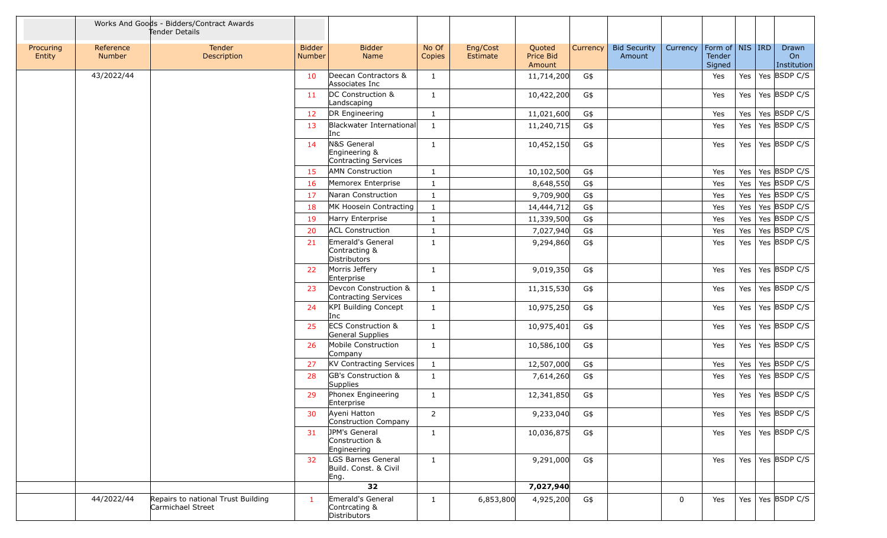|                     |                     | Works And Goods - Bidders/Contract Awards<br>Tender Details |                                |                                                           |                 |                      |                               |          |                               |             |                                                     |         |                            |
|---------------------|---------------------|-------------------------------------------------------------|--------------------------------|-----------------------------------------------------------|-----------------|----------------------|-------------------------------|----------|-------------------------------|-------------|-----------------------------------------------------|---------|----------------------------|
| Procuring<br>Entity | Reference<br>Number | Tender<br>Description                                       | <b>Bidder</b><br><b>Number</b> | <b>Bidder</b><br>Name                                     | No Of<br>Copies | Eng/Cost<br>Estimate | Quoted<br>Price Bid<br>Amount | Currency | <b>Bid Security</b><br>Amount | Currency    | Form of $\vert$ NIS $\vert$ IRD<br>Tender<br>Signed |         | Drawn<br>On<br>Institution |
|                     | 43/2022/44          |                                                             | 10                             | Deecan Contractors &<br>Associates Inc                    | $\mathbf{1}$    |                      | 11,714,200                    | G\$      |                               |             | Yes                                                 | Yes     | Yes BSDP C/S               |
|                     |                     |                                                             | 11                             | DC Construction &<br>Landscaping                          | 1               |                      | 10,422,200                    | G\$      |                               |             | Yes                                                 | Yes     | Yes BSDP C/S               |
|                     |                     |                                                             | -12                            | DR Engineering                                            | $\mathbf{1}$    |                      | 11,021,600                    | G\$      |                               |             | Yes                                                 | Yes     | Yes BSDP C/S               |
|                     |                     |                                                             | 13                             | Blackwater International<br>Inc                           | $\mathbf{1}$    |                      | 11,240,715                    | G\$      |                               |             | Yes                                                 | Yes     | Yes BSDP C/S               |
|                     |                     |                                                             | 14                             | N&S General<br>Engineering &<br>Contracting Services      | $\mathbf{1}$    |                      | 10,452,150                    | G\$      |                               |             | Yes                                                 | Yes     | Yes BSDP C/S               |
|                     |                     |                                                             | 15                             | <b>AMN Construction</b>                                   | $\mathbf{1}$    |                      | 10,102,500                    | G\$      |                               |             | Yes                                                 | Yes     | Yes BSDP C/S               |
|                     |                     |                                                             | 16                             | Memorex Enterprise                                        | $\mathbf{1}$    |                      | 8,648,550                     | G\$      |                               |             | Yes                                                 | Yes     | Yes BSDP C/S               |
|                     |                     |                                                             | 17                             | Naran Construction                                        | $\mathbf{1}$    |                      | 9,709,900                     | G\$      |                               |             | Yes                                                 | Yes     | Yes BSDP C/S               |
|                     |                     |                                                             | 18                             | MK Hoosein Contracting                                    | $\mathbf{1}$    |                      | 14,444,712                    | G\$      |                               |             | Yes                                                 | Yes     | Yes BSDP C/S               |
|                     |                     |                                                             | 19                             | Harry Enterprise                                          | $\mathbf{1}$    |                      | 11,339,500                    | G\$      |                               |             | Yes                                                 | Yes     | Yes BSDP C/S               |
|                     |                     |                                                             | 20                             | <b>ACL Construction</b>                                   | $\mathbf{1}$    |                      | 7,027,940                     | G\$      |                               |             | Yes                                                 | Yes     | Yes BSDP C/S               |
|                     |                     |                                                             | 21                             | Emerald's General<br>Contracting &<br><b>Distributors</b> | $\mathbf{1}$    |                      | 9,294,860                     | G\$      |                               |             | Yes                                                 | Yes     | Yes BSDP C/S               |
|                     |                     |                                                             | 22                             | Morris Jeffery<br>Enterprise                              | $\mathbf{1}$    |                      | 9,019,350                     | G\$      |                               |             | Yes                                                 | Yes $ $ | Yes BSDP C/S               |
|                     |                     |                                                             | 23                             | Devcon Construction &<br>Contracting Services             | $\mathbf{1}$    |                      | 11,315,530                    | G\$      |                               |             | Yes                                                 | Yes     | Yes BSDP C/S               |
|                     |                     |                                                             | 24                             | KPI Building Concept<br>Inc                               | $\mathbf{1}$    |                      | 10,975,250                    | G\$      |                               |             | Yes                                                 | Yes     | Yes BSDP C/S               |
|                     |                     |                                                             | 25                             | <b>ECS Construction &amp;</b><br>General Supplies         | $\mathbf{1}$    |                      | 10,975,401                    | G\$      |                               |             | Yes                                                 | Yes     | Yes BSDP C/S               |
|                     |                     |                                                             | 26                             | Mobile Construction<br>Company                            | $\mathbf{1}$    |                      | 10,586,100                    | G\$      |                               |             | Yes                                                 | Yes     | Yes BSDP C/S               |
|                     |                     |                                                             | 27                             | KV Contracting Services                                   | $\mathbf{1}$    |                      | 12,507,000                    | G\$      |                               |             | Yes                                                 | Yes     | Yes BSDP C/S               |
|                     |                     |                                                             | 28                             | GB's Construction &<br>Supplies                           | $\mathbf{1}$    |                      | 7,614,260                     | G\$      |                               |             | Yes                                                 | Yes     | Yes $\overline{BSDP}$ C/S  |
|                     |                     |                                                             | 29                             | Phonex Engineering<br>Enterprise                          | $\mathbf{1}$    |                      | 12,341,850                    | G\$      |                               |             | Yes                                                 | Yes     | Yes BSDP C/S               |
|                     |                     |                                                             | 30                             | Ayeni Hatton<br>Construction Company                      | $\overline{2}$  |                      | 9,233,040                     | G\$      |                               |             | Yes                                                 |         | Yes   Yes   BSDP C/S       |
|                     |                     |                                                             | 31                             | JPM's General<br>Construction &<br>Engineering            | $\mathbf{1}$    |                      | 10,036,875                    | G\$      |                               |             | Yes                                                 |         | Yes   Yes   BSDP C/S       |
|                     |                     |                                                             | 32                             | LGS Barnes General<br>Build. Const. & Civil<br>Eng.       | $\mathbf{1}$    |                      | 9,291,000                     | G\$      |                               |             | Yes                                                 |         | Yes   Yes   BSDP C/S       |
|                     |                     |                                                             |                                | 32                                                        |                 |                      | 7,027,940                     |          |                               |             |                                                     |         |                            |
|                     | 44/2022/44          | Repairs to national Trust Building<br>Carmichael Street     |                                | Emerald's General<br>Contrcating &<br>Distributors        | $\mathbf{1}$    | 6,853,800            | 4,925,200                     | G\$      |                               | $\mathbf 0$ | Yes                                                 |         | Yes   Yes   BSDP C/S       |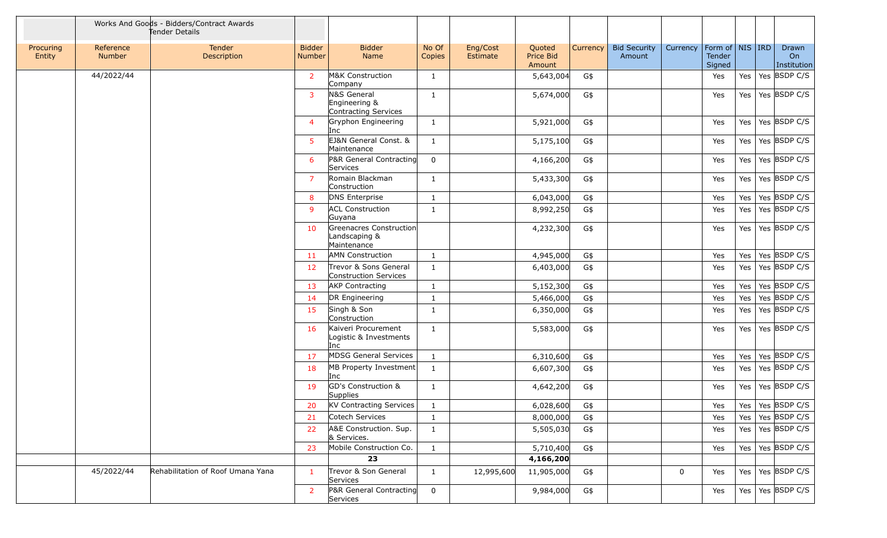|                     |                     | Works And Goods - Bidders/Contract Awards<br>Tender Details |                         |                                                         |                 |                      |                               |          |                               |          |                                         |         |                            |
|---------------------|---------------------|-------------------------------------------------------------|-------------------------|---------------------------------------------------------|-----------------|----------------------|-------------------------------|----------|-------------------------------|----------|-----------------------------------------|---------|----------------------------|
| Procuring<br>Entity | Reference<br>Number | <b>Tender</b><br>Description                                | <b>Bidder</b><br>Number | <b>Bidder</b><br>Name                                   | No Of<br>Copies | Eng/Cost<br>Estimate | Quoted<br>Price Bid<br>Amount | Currency | <b>Bid Security</b><br>Amount | Currency | Form of   NIS   IRD<br>Tender<br>Signed |         | Drawn<br>On<br>Institution |
|                     | 44/2022/44          |                                                             | 2                       | M&K Construction<br>Company                             | 1               |                      | 5,643,004                     | G\$      |                               |          | Yes                                     | Yes     | Yes BSDP C/S               |
|                     |                     |                                                             | $\overline{3}$          | N&S General<br>Engineering &<br>Contracting Services    | 1               |                      | 5,674,000                     | G\$      |                               |          | Yes                                     | Yes l   | Yes BSDP C/S               |
|                     |                     |                                                             | $\overline{A}$          | Gryphon Engineering<br>Inc                              | 1               |                      | 5,921,000                     | G\$      |                               |          | Yes                                     | Yes     | Yes BSDP C/S               |
|                     |                     |                                                             | 5                       | EJ&N General Const. &<br>Maintenance                    | $\mathbf{1}$    |                      | 5,175,100                     | G\$      |                               |          | Yes                                     | Yes     | Yes BSDP C/S               |
|                     |                     |                                                             | 6                       | P&R General Contracting<br>Services                     | $\Omega$        |                      | 4,166,200                     | G\$      |                               |          | Yes                                     | Yes     | Yes BSDP C/S               |
|                     |                     |                                                             | -7                      | Romain Blackman<br>Construction                         | 1               |                      | 5,433,300                     | G\$      |                               |          | Yes                                     | Yes     | Yes BSDP C/S               |
|                     |                     |                                                             | 8                       | DNS Enterprise                                          | $\mathbf{1}$    |                      | 6,043,000                     | G\$      |                               |          | Yes                                     | Yes     | Yes BSDP C/S               |
|                     |                     |                                                             | 9                       | <b>ACL Construction</b><br>Guyana                       | $\mathbf{1}$    |                      | 8,992,250                     | G\$      |                               |          | Yes                                     | Yes     | Yes BSDP C/S               |
|                     |                     |                                                             | 10                      | Greenacres Construction<br>Landscaping &<br>Maintenance |                 |                      | 4,232,300                     | G\$      |                               |          | Yes                                     | Yes     | Yes BSDP C/S               |
|                     |                     |                                                             | 11                      | <b>AMN</b> Construction                                 | 1               |                      | 4,945,000                     | G\$      |                               |          | Yes                                     | Yes     | Yes BSDP C/S               |
|                     |                     |                                                             | 12                      | Trevor & Sons General<br>Construction Services          | $\mathbf{1}$    |                      | 6,403,000                     | G\$      |                               |          | Yes                                     | Yes     | Yes BSDP C/S               |
|                     |                     |                                                             | 13                      | <b>AKP Contracting</b>                                  | $\mathbf{1}$    |                      | 5,152,300                     | G\$      |                               |          | Yes                                     | Yes     | Yes BSDP C/S               |
|                     |                     |                                                             | 14                      | DR Engineering                                          | $\mathbf{1}$    |                      | 5,466,000                     | G\$      |                               |          | Yes                                     | Yes     | Yes BSDP C/S               |
|                     |                     |                                                             | 15                      | Singh & Son<br>Construction                             | 1               |                      | 6,350,000                     | G\$      |                               |          | Yes                                     | Yes     | Yes BSDP C/S               |
|                     |                     |                                                             | 16                      | Kaiveri Procurement<br>Logistic & Investments<br>Inc    | $\mathbf{1}$    |                      | 5,583,000                     | G\$      |                               |          | Yes                                     | Yes     | Yes BSDP C/S               |
|                     |                     |                                                             | 17                      | <b>MDSG General Services</b>                            | $\mathbf{1}$    |                      | 6,310,600                     | G\$      |                               |          | Yes                                     | Yes     | Yes BSDP C/S               |
|                     |                     |                                                             | 18                      | MB Property Investment<br>Inc                           | $\mathbf{1}$    |                      | 6,607,300                     | G\$      |                               |          | Yes                                     | Yes     | Yes BSDP C/S               |
|                     |                     |                                                             | 19                      | GD's Construction &<br><b>Supplies</b>                  | $\mathbf{1}$    |                      | 4,642,200                     | G\$      |                               |          | Yes                                     | Yes     | Yes BSDP C/S               |
|                     |                     |                                                             | 20                      | KV Contracting Services                                 | 1               |                      | 6,028,600                     | G\$      |                               |          | Yes                                     |         | Yes   Yes   BSDP C/S       |
|                     |                     |                                                             | 21                      | Cotech Services                                         | 1               |                      | 8,000,000                     | G\$      |                               |          | Yes                                     | Yes     | Yes BSDP C/S               |
|                     |                     |                                                             | 22                      | A&E Construction. Sup.<br>& Services.                   | $\mathbf{1}$    |                      | 5,505,030                     | G\$      |                               |          | Yes                                     | Yes     | Yes BSDP C/S               |
|                     |                     |                                                             | 23                      | Mobile Construction Co.                                 | $\mathbf{1}$    |                      | 5,710,400                     | G\$      |                               |          | Yes                                     | Yes $ $ | Yes BSDP C/S               |
|                     |                     |                                                             |                         | 23                                                      |                 |                      | 4,166,200                     |          |                               |          |                                         |         |                            |
|                     | 45/2022/44          | Rehabilitation of Roof Umana Yana                           | -1                      | Trevor & Son General<br>Services                        | $\mathbf{1}$    | 12,995,600           | 11,905,000                    | G\$      |                               | 0        | Yes                                     | Yes     | Yes BSDP C/S               |
|                     |                     |                                                             | $\overline{2}$          | P&R General Contracting<br>Services                     | 0               |                      | 9,984,000                     | G\$      |                               |          | Yes                                     | Yes $ $ | Yes BSDP C/S               |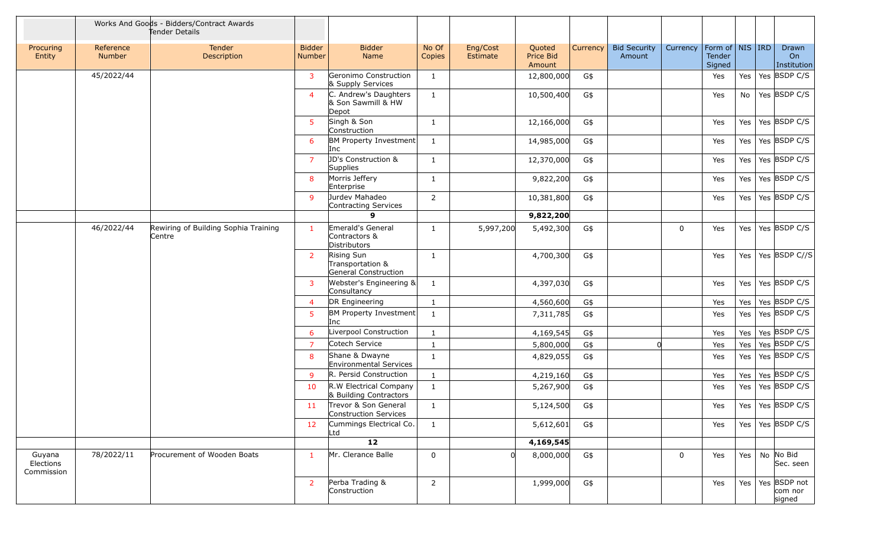|                                   |                            | Works And Goods - Bidders/Contract Awards<br>Tender Details |                         |                                                        |                 |                      |                               |          |                               |             |                                                     |     |                                           |
|-----------------------------------|----------------------------|-------------------------------------------------------------|-------------------------|--------------------------------------------------------|-----------------|----------------------|-------------------------------|----------|-------------------------------|-------------|-----------------------------------------------------|-----|-------------------------------------------|
| Procuring<br>Entity               | Reference<br><b>Number</b> | Tender<br>Description                                       | <b>Bidder</b><br>Number | <b>Bidder</b><br>Name                                  | No Of<br>Copies | Eng/Cost<br>Estimate | Quoted<br>Price Bid<br>Amount | Currency | <b>Bid Security</b><br>Amount | Currency    | Form of $\vert$ NIS $\vert$ IRD<br>Tender<br>Signed |     | Drawn<br>On<br>Institution                |
|                                   | 45/2022/44                 |                                                             | 3                       | Geronimo Construction<br>& Supply Services             | $\mathbf{1}$    |                      | 12,800,000                    | G\$      |                               |             | Yes                                                 | Yes | Yes BSDP C/S                              |
|                                   |                            |                                                             | $\boldsymbol{\Delta}$   | C. Andrew's Daughters<br>& Son Sawmill & HW<br>Depot   | $\mathbf{1}$    |                      | 10,500,400                    | G\$      |                               |             | Yes                                                 | No  | Yes BSDP C/S                              |
|                                   |                            |                                                             | -5                      | Singh & Son<br>Construction                            | $\mathbf{1}$    |                      | 12,166,000                    | G\$      |                               |             | Yes                                                 | Yes | Yes BSDP C/S                              |
|                                   |                            |                                                             | 6                       | BM Property Investment<br>Inc                          | $\mathbf{1}$    |                      | 14,985,000                    | G\$      |                               |             | Yes                                                 | Yes | Yes BSDP C/S                              |
|                                   |                            |                                                             | -7                      | JD's Construction &<br>Supplies                        | $\mathbf{1}$    |                      | 12,370,000                    | G\$      |                               |             | Yes                                                 | Yes | Yes BSDP C/S                              |
|                                   |                            |                                                             | 8                       | Morris Jeffery<br>Enterprise                           | $\mathbf{1}$    |                      | 9,822,200                     | G\$      |                               |             | Yes                                                 | Yes | Yes BSDP C/S                              |
|                                   |                            |                                                             | -9                      | Jurdev Mahadeo<br>Contracting Services                 | 2               |                      | 10,381,800                    | G\$      |                               |             | Yes                                                 | Yes | Yes BSDP C/S                              |
|                                   |                            |                                                             |                         | 9                                                      |                 |                      | 9,822,200                     |          |                               |             |                                                     |     |                                           |
|                                   | 46/2022/44                 | Rewiring of Building Sophia Training<br>Centre              |                         | Emerald's General<br>Contractors &<br>Distributors     | $\mathbf{1}$    | 5,997,200            | 5,492,300                     | G\$      |                               | $\mathbf 0$ | Yes                                                 | Yes | Yes BSDP C/S                              |
|                                   |                            |                                                             | 2                       | Rising Sun<br>Transportation &<br>General Construction | 1               |                      | 4,700,300                     | G\$      |                               |             | Yes                                                 | Yes | Yes BSDP C//S                             |
|                                   |                            |                                                             | 3                       | Webster's Engineering &<br>Consultancy                 | $\mathbf{1}$    |                      | 4,397,030                     | G\$      |                               |             | Yes                                                 | Yes | Yes BSDP C/S                              |
|                                   |                            |                                                             | $\overline{4}$          | DR Engineering                                         | $\mathbf{1}$    |                      | 4,560,600                     | G\$      |                               |             | Yes                                                 | Yes | Yes BSDP C/S                              |
|                                   |                            |                                                             | 5                       | BM Property Investment<br>Inc                          | $\mathbf{1}$    |                      | 7,311,785                     | G\$      |                               |             | Yes                                                 | Yes | Yes BSDP C/S                              |
|                                   |                            |                                                             | 6                       | Liverpool Construction                                 | $\mathbf{1}$    |                      | 4,169,545                     | G\$      |                               |             | Yes                                                 | Yes | Yes BSDP C/S                              |
|                                   |                            |                                                             | $\overline{7}$          | Cotech Service                                         | $\mathbf{1}$    |                      | 5,800,000                     | G\$      | $\Omega$                      |             | Yes                                                 | Yes | Yes BSDP C/S                              |
|                                   |                            |                                                             | 8                       | Shane & Dwayne<br>Environmental Services               | $\mathbf{1}$    |                      | 4,829,055                     | G\$      |                               |             | Yes                                                 | Yes | Yes BSDP C/S                              |
|                                   |                            |                                                             | -9                      | R. Persid Construction                                 | $\mathbf{1}$    |                      | 4,219,160                     | G\$      |                               |             | Yes                                                 | Yes | Yes BSDP C/S                              |
|                                   |                            |                                                             | 10                      | R.W Electrical Company<br>& Building Contractors       | $\mathbf{1}$    |                      | 5,267,900                     | G\$      |                               |             | Yes                                                 | Yes | Yes BSDP C/S                              |
|                                   |                            |                                                             | 11                      | Trevor & Son General<br>Construction Services          | $\mathbf{1}$    |                      | 5,124,500                     | G\$      |                               |             | Yes                                                 |     | Yes   Yes   BSDP C/S                      |
|                                   |                            |                                                             | 12                      | Cummings Electrical Co.<br>Ltd                         | $\mathbf{1}$    |                      | 5,612,601                     | G\$      |                               |             | Yes                                                 | Yes | Yes BSDP C/S                              |
|                                   |                            |                                                             |                         | 12                                                     |                 |                      | 4,169,545                     |          |                               |             |                                                     |     |                                           |
| Guyana<br>Elections<br>Commission | 78/2022/11                 | Procurement of Wooden Boats                                 | $\mathbf{1}$            | Mr. Clerance Balle                                     | $\mathbf 0$     | 0l                   | 8,000,000                     | G\$      |                               | $\mathbf 0$ | Yes                                                 | Yes | No No Bid<br>Sec. seen                    |
|                                   |                            |                                                             | 2                       | Perba Trading &<br>Construction                        | $\overline{2}$  |                      | 1,999,000                     | G\$      |                               |             | Yes                                                 |     | Yes   Yes   BSDP not<br>com nor<br>signed |